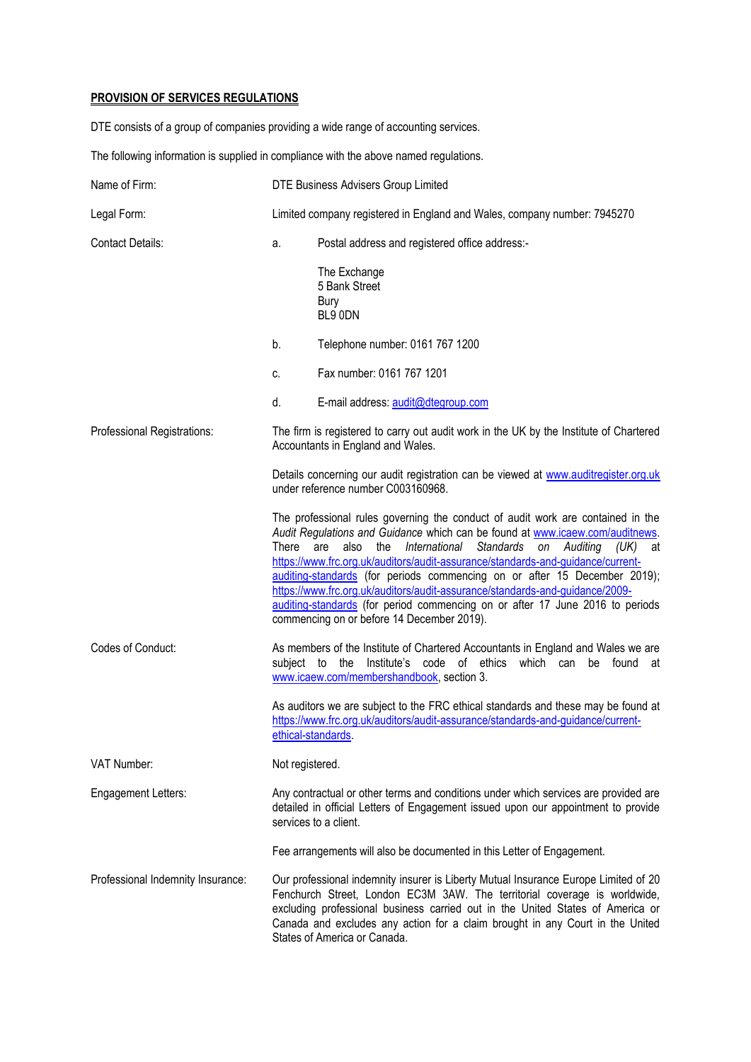## **PROVISION OF SERVICES REGULATIONS**

DTE consists of a group of companies providing a wide range of accounting services.

The following information is supplied in compliance with the above named regulations.

| Name of Firm:                     | DTE Business Advisers Group Limited |                                                                                                                                                                                                                                                                                                                                                                                                                                                                                                                                                                                                                         |
|-----------------------------------|-------------------------------------|-------------------------------------------------------------------------------------------------------------------------------------------------------------------------------------------------------------------------------------------------------------------------------------------------------------------------------------------------------------------------------------------------------------------------------------------------------------------------------------------------------------------------------------------------------------------------------------------------------------------------|
| Legal Form:                       |                                     | Limited company registered in England and Wales, company number: 7945270                                                                                                                                                                                                                                                                                                                                                                                                                                                                                                                                                |
| <b>Contact Details:</b>           | a.                                  | Postal address and registered office address:-                                                                                                                                                                                                                                                                                                                                                                                                                                                                                                                                                                          |
|                                   |                                     | The Exchange<br>5 Bank Street<br>Bury<br>BL9 ODN                                                                                                                                                                                                                                                                                                                                                                                                                                                                                                                                                                        |
|                                   | b.                                  | Telephone number: 0161 767 1200                                                                                                                                                                                                                                                                                                                                                                                                                                                                                                                                                                                         |
|                                   | C.                                  | Fax number: 0161 767 1201                                                                                                                                                                                                                                                                                                                                                                                                                                                                                                                                                                                               |
|                                   | d.                                  | E-mail address: audit@dtegroup.com                                                                                                                                                                                                                                                                                                                                                                                                                                                                                                                                                                                      |
| Professional Registrations:       |                                     | The firm is registered to carry out audit work in the UK by the Institute of Chartered<br>Accountants in England and Wales.                                                                                                                                                                                                                                                                                                                                                                                                                                                                                             |
|                                   |                                     | Details concerning our audit registration can be viewed at www.auditregister.org.uk<br>under reference number C003160968.                                                                                                                                                                                                                                                                                                                                                                                                                                                                                               |
|                                   | There                               | The professional rules governing the conduct of audit work are contained in the<br>Audit Regulations and Guidance which can be found at www.icaew.com/auditnews.<br>are<br>also the International Standards<br>on Auditing<br>(UK)<br>at<br>https://www.frc.org.uk/auditors/audit-assurance/standards-and-guidance/current-<br>auditing-standards (for periods commencing on or after 15 December 2019);<br>https://www.frc.org.uk/auditors/audit-assurance/standards-and-guidance/2009-<br>auditing-standards (for period commencing on or after 17 June 2016 to periods<br>commencing on or before 14 December 2019). |
| Codes of Conduct:                 | subject to                          | As members of the Institute of Chartered Accountants in England and Wales we are<br>Institute's code of ethics<br>which can<br>the<br>be found<br>at<br>www.icaew.com/membershandbook, section 3.                                                                                                                                                                                                                                                                                                                                                                                                                       |
|                                   | ethical-standards.                  | As auditors we are subject to the FRC ethical standards and these may be found at<br>https://www.frc.org.uk/auditors/audit-assurance/standards-and-guidance/current-                                                                                                                                                                                                                                                                                                                                                                                                                                                    |
| VAT Number:                       | Not registered.                     |                                                                                                                                                                                                                                                                                                                                                                                                                                                                                                                                                                                                                         |
| Engagement Letters:               |                                     | Any contractual or other terms and conditions under which services are provided are<br>detailed in official Letters of Engagement issued upon our appointment to provide<br>services to a client.                                                                                                                                                                                                                                                                                                                                                                                                                       |
|                                   |                                     | Fee arrangements will also be documented in this Letter of Engagement.                                                                                                                                                                                                                                                                                                                                                                                                                                                                                                                                                  |
| Professional Indemnity Insurance: |                                     | Our professional indemnity insurer is Liberty Mutual Insurance Europe Limited of 20<br>Fenchurch Street, London EC3M 3AW. The territorial coverage is worldwide,<br>excluding professional business carried out in the United States of America or<br>Canada and excludes any action for a claim brought in any Court in the United<br>States of America or Canada.                                                                                                                                                                                                                                                     |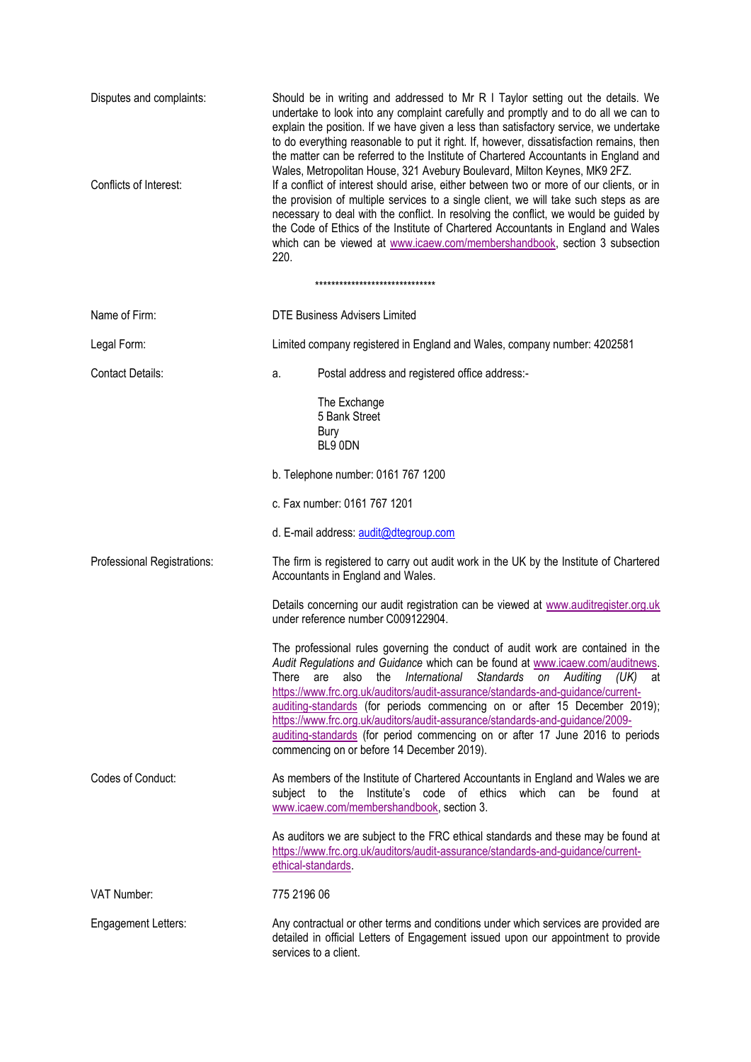| Disputes and complaints:<br>Conflicts of Interest: | Should be in writing and addressed to Mr R I Taylor setting out the details. We<br>undertake to look into any complaint carefully and promptly and to do all we can to<br>explain the position. If we have given a less than satisfactory service, we undertake<br>to do everything reasonable to put it right. If, however, dissatisfaction remains, then<br>the matter can be referred to the Institute of Chartered Accountants in England and<br>Wales, Metropolitan House, 321 Avebury Boulevard, Milton Keynes, MK9 2FZ.<br>If a conflict of interest should arise, either between two or more of our clients, or in<br>the provision of multiple services to a single client, we will take such steps as are |
|----------------------------------------------------|---------------------------------------------------------------------------------------------------------------------------------------------------------------------------------------------------------------------------------------------------------------------------------------------------------------------------------------------------------------------------------------------------------------------------------------------------------------------------------------------------------------------------------------------------------------------------------------------------------------------------------------------------------------------------------------------------------------------|
|                                                    | necessary to deal with the conflict. In resolving the conflict, we would be guided by<br>the Code of Ethics of the Institute of Chartered Accountants in England and Wales<br>which can be viewed at www.icaew.com/membershandbook, section 3 subsection<br>220.                                                                                                                                                                                                                                                                                                                                                                                                                                                    |
|                                                    | ******************************                                                                                                                                                                                                                                                                                                                                                                                                                                                                                                                                                                                                                                                                                      |
| Name of Firm:                                      | <b>DTE Business Advisers Limited</b>                                                                                                                                                                                                                                                                                                                                                                                                                                                                                                                                                                                                                                                                                |
| Legal Form:                                        | Limited company registered in England and Wales, company number: 4202581                                                                                                                                                                                                                                                                                                                                                                                                                                                                                                                                                                                                                                            |
| <b>Contact Details:</b>                            | Postal address and registered office address:-<br>a.                                                                                                                                                                                                                                                                                                                                                                                                                                                                                                                                                                                                                                                                |
|                                                    | The Exchange<br>5 Bank Street                                                                                                                                                                                                                                                                                                                                                                                                                                                                                                                                                                                                                                                                                       |
|                                                    | <b>Bury</b><br>BL9 0DN                                                                                                                                                                                                                                                                                                                                                                                                                                                                                                                                                                                                                                                                                              |
|                                                    | b. Telephone number: 0161 767 1200                                                                                                                                                                                                                                                                                                                                                                                                                                                                                                                                                                                                                                                                                  |
|                                                    | c. Fax number: 0161 767 1201                                                                                                                                                                                                                                                                                                                                                                                                                                                                                                                                                                                                                                                                                        |
|                                                    | d. E-mail address: audit@dtegroup.com                                                                                                                                                                                                                                                                                                                                                                                                                                                                                                                                                                                                                                                                               |
| Professional Registrations:                        | The firm is registered to carry out audit work in the UK by the Institute of Chartered<br>Accountants in England and Wales.                                                                                                                                                                                                                                                                                                                                                                                                                                                                                                                                                                                         |
|                                                    | Details concerning our audit registration can be viewed at www.auditregister.org.uk<br>under reference number C009122904.                                                                                                                                                                                                                                                                                                                                                                                                                                                                                                                                                                                           |
|                                                    | The professional rules governing the conduct of audit work are contained in the<br>Audit Regulations and Guidance which can be found at www.icaew.com/auditnews.<br>There are also the International Standards on Auditing (UK)<br>_at<br>https://www.frc.org.uk/auditors/audit-assurance/standards-and-guidance/current-<br>auditing-standards (for periods commencing on or after 15 December 2019);<br>https://www.frc.org.uk/auditors/audit-assurance/standards-and-guidance/2009-<br>auditing-standards (for period commencing on or after 17 June 2016 to periods<br>commencing on or before 14 December 2019).                                                                                               |
| Codes of Conduct:                                  | As members of the Institute of Chartered Accountants in England and Wales we are<br>the<br>Institute's code of ethics<br>which can be found at<br>subject to<br>www.icaew.com/membershandbook, section 3.                                                                                                                                                                                                                                                                                                                                                                                                                                                                                                           |
|                                                    | As auditors we are subject to the FRC ethical standards and these may be found at<br>https://www.frc.org.uk/auditors/audit-assurance/standards-and-guidance/current-<br>ethical-standards                                                                                                                                                                                                                                                                                                                                                                                                                                                                                                                           |
| VAT Number:                                        | 775 2196 06                                                                                                                                                                                                                                                                                                                                                                                                                                                                                                                                                                                                                                                                                                         |
| <b>Engagement Letters:</b>                         | Any contractual or other terms and conditions under which services are provided are<br>detailed in official Letters of Engagement issued upon our appointment to provide<br>services to a client.                                                                                                                                                                                                                                                                                                                                                                                                                                                                                                                   |